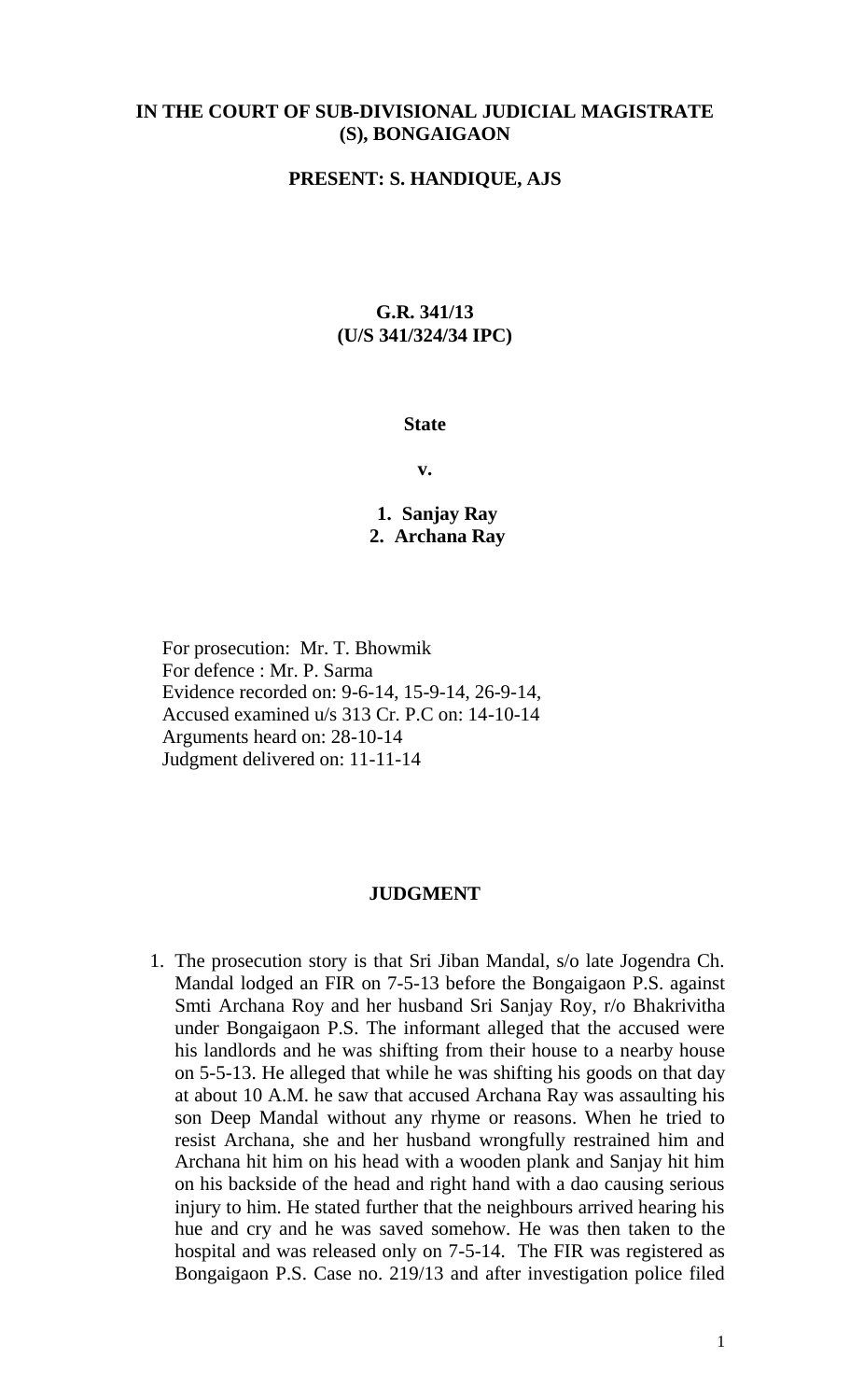# **IN THE COURT OF SUB-DIVISIONAL JUDICIAL MAGISTRATE (S), BONGAIGAON**

#### **PRESENT: S. HANDIQUE, AJS**

## **G.R. 341/13 (U/S 341/324/34 IPC)**

#### **State**

**v.**

**1. Sanjay Ray 2. Archana Ray**

For prosecution: Mr. T. Bhowmik For defence : Mr. P. Sarma Evidence recorded on: 9-6-14, 15-9-14, 26-9-14, Accused examined u/s 313 Cr. P.C on: 14-10-14 Arguments heard on: 28-10-14 Judgment delivered on: 11-11-14

### **JUDGMENT**

1. The prosecution story is that Sri Jiban Mandal, s/o late Jogendra Ch. Mandal lodged an FIR on 7-5-13 before the Bongaigaon P.S. against Smti Archana Roy and her husband Sri Sanjay Roy, r/o Bhakrivitha under Bongaigaon P.S. The informant alleged that the accused were his landlords and he was shifting from their house to a nearby house on 5-5-13. He alleged that while he was shifting his goods on that day at about 10 A.M. he saw that accused Archana Ray was assaulting his son Deep Mandal without any rhyme or reasons. When he tried to resist Archana, she and her husband wrongfully restrained him and Archana hit him on his head with a wooden plank and Sanjay hit him on his backside of the head and right hand with a dao causing serious injury to him. He stated further that the neighbours arrived hearing his hue and cry and he was saved somehow. He was then taken to the hospital and was released only on 7-5-14. The FIR was registered as Bongaigaon P.S. Case no. 219/13 and after investigation police filed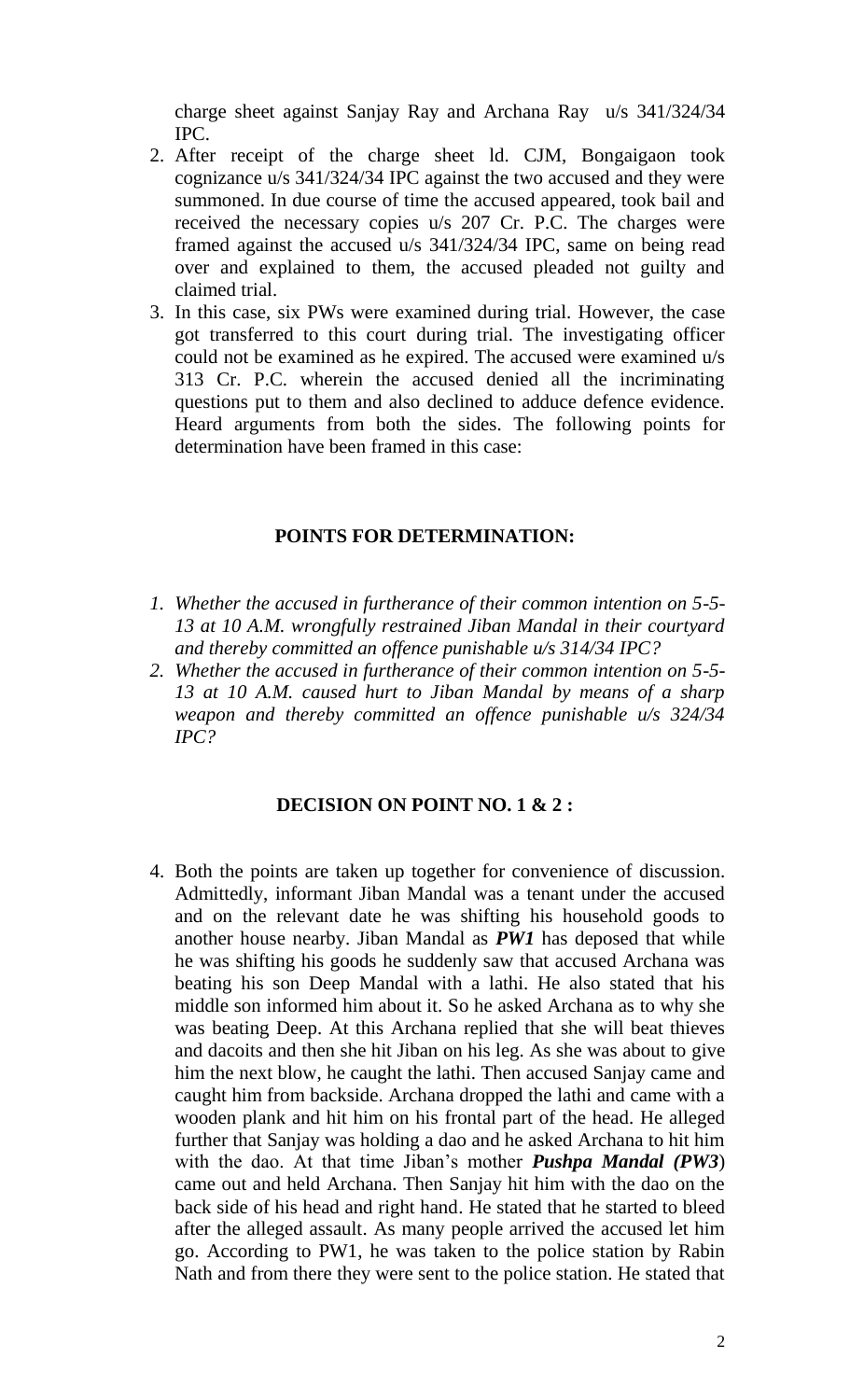charge sheet against Sanjay Ray and Archana Ray u/s 341/324/34 IPC.

- 2. After receipt of the charge sheet ld. CJM, Bongaigaon took cognizance u/s 341/324/34 IPC against the two accused and they were summoned. In due course of time the accused appeared, took bail and received the necessary copies u/s 207 Cr. P.C. The charges were framed against the accused u/s 341/324/34 IPC, same on being read over and explained to them, the accused pleaded not guilty and claimed trial.
- 3. In this case, six PWs were examined during trial. However, the case got transferred to this court during trial. The investigating officer could not be examined as he expired. The accused were examined u/s 313 Cr. P.C. wherein the accused denied all the incriminating questions put to them and also declined to adduce defence evidence. Heard arguments from both the sides. The following points for determination have been framed in this case:

### **POINTS FOR DETERMINATION:**

- *1. Whether the accused in furtherance of their common intention on 5-5- 13 at 10 A.M. wrongfully restrained Jiban Mandal in their courtyard and thereby committed an offence punishable u/s 314/34 IPC?*
- *2. Whether the accused in furtherance of their common intention on 5-5- 13 at 10 A.M. caused hurt to Jiban Mandal by means of a sharp weapon and thereby committed an offence punishable u/s 324/34 IPC?*

## **DECISION ON POINT NO. 1 & 2 :**

4. Both the points are taken up together for convenience of discussion. Admittedly, informant Jiban Mandal was a tenant under the accused and on the relevant date he was shifting his household goods to another house nearby. Jiban Mandal as *PW1* has deposed that while he was shifting his goods he suddenly saw that accused Archana was beating his son Deep Mandal with a lathi. He also stated that his middle son informed him about it. So he asked Archana as to why she was beating Deep. At this Archana replied that she will beat thieves and dacoits and then she hit Jiban on his leg. As she was about to give him the next blow, he caught the lathi. Then accused Sanjay came and caught him from backside. Archana dropped the lathi and came with a wooden plank and hit him on his frontal part of the head. He alleged further that Sanjay was holding a dao and he asked Archana to hit him with the dao. At that time Jiban's mother *Pushpa Mandal (PW3*) came out and held Archana. Then Sanjay hit him with the dao on the back side of his head and right hand. He stated that he started to bleed after the alleged assault. As many people arrived the accused let him go. According to PW1, he was taken to the police station by Rabin Nath and from there they were sent to the police station. He stated that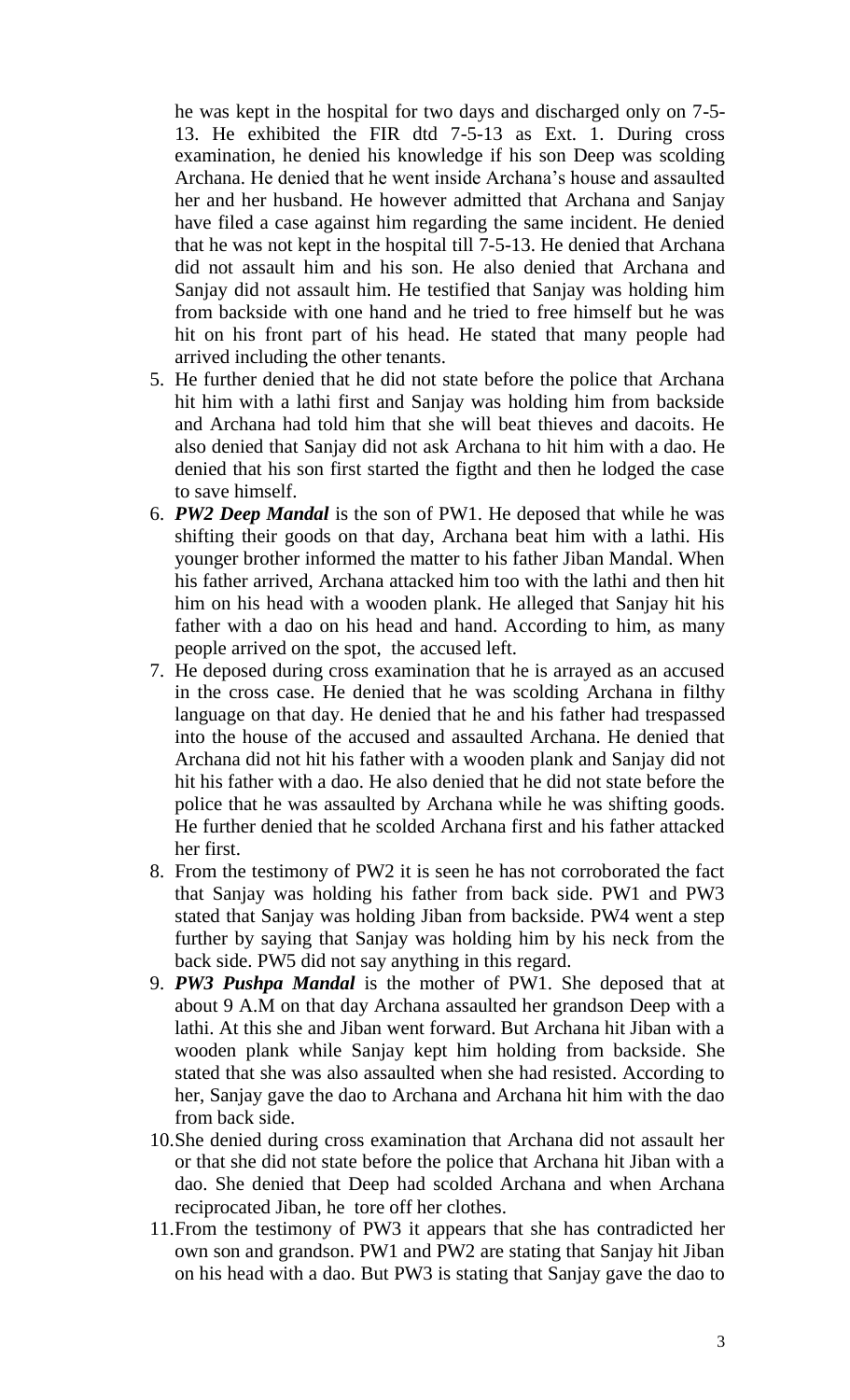he was kept in the hospital for two days and discharged only on 7-5- 13. He exhibited the FIR dtd 7-5-13 as Ext. 1. During cross examination, he denied his knowledge if his son Deep was scolding Archana. He denied that he went inside Archana's house and assaulted her and her husband. He however admitted that Archana and Sanjay have filed a case against him regarding the same incident. He denied that he was not kept in the hospital till 7-5-13. He denied that Archana did not assault him and his son. He also denied that Archana and Sanjay did not assault him. He testified that Sanjay was holding him from backside with one hand and he tried to free himself but he was hit on his front part of his head. He stated that many people had arrived including the other tenants.

- 5. He further denied that he did not state before the police that Archana hit him with a lathi first and Sanjay was holding him from backside and Archana had told him that she will beat thieves and dacoits. He also denied that Sanjay did not ask Archana to hit him with a dao. He denied that his son first started the figtht and then he lodged the case to save himself.
- 6. *PW2 Deep Mandal* is the son of PW1. He deposed that while he was shifting their goods on that day, Archana beat him with a lathi. His younger brother informed the matter to his father Jiban Mandal. When his father arrived, Archana attacked him too with the lathi and then hit him on his head with a wooden plank. He alleged that Sanjay hit his father with a dao on his head and hand. According to him, as many people arrived on the spot, the accused left.
- 7. He deposed during cross examination that he is arrayed as an accused in the cross case. He denied that he was scolding Archana in filthy language on that day. He denied that he and his father had trespassed into the house of the accused and assaulted Archana. He denied that Archana did not hit his father with a wooden plank and Sanjay did not hit his father with a dao. He also denied that he did not state before the police that he was assaulted by Archana while he was shifting goods. He further denied that he scolded Archana first and his father attacked her first.
- 8. From the testimony of PW2 it is seen he has not corroborated the fact that Sanjay was holding his father from back side. PW1 and PW3 stated that Sanjay was holding Jiban from backside. PW4 went a step further by saying that Sanjay was holding him by his neck from the back side. PW5 did not say anything in this regard.
- 9. *PW3 Pushpa Mandal* is the mother of PW1. She deposed that at about 9 A.M on that day Archana assaulted her grandson Deep with a lathi. At this she and Jiban went forward. But Archana hit Jiban with a wooden plank while Sanjay kept him holding from backside. She stated that she was also assaulted when she had resisted. According to her, Sanjay gave the dao to Archana and Archana hit him with the dao from back side.
- 10.She denied during cross examination that Archana did not assault her or that she did not state before the police that Archana hit Jiban with a dao. She denied that Deep had scolded Archana and when Archana reciprocated Jiban, he tore off her clothes.
- 11.From the testimony of PW3 it appears that she has contradicted her own son and grandson. PW1 and PW2 are stating that Sanjay hit Jiban on his head with a dao. But PW3 is stating that Sanjay gave the dao to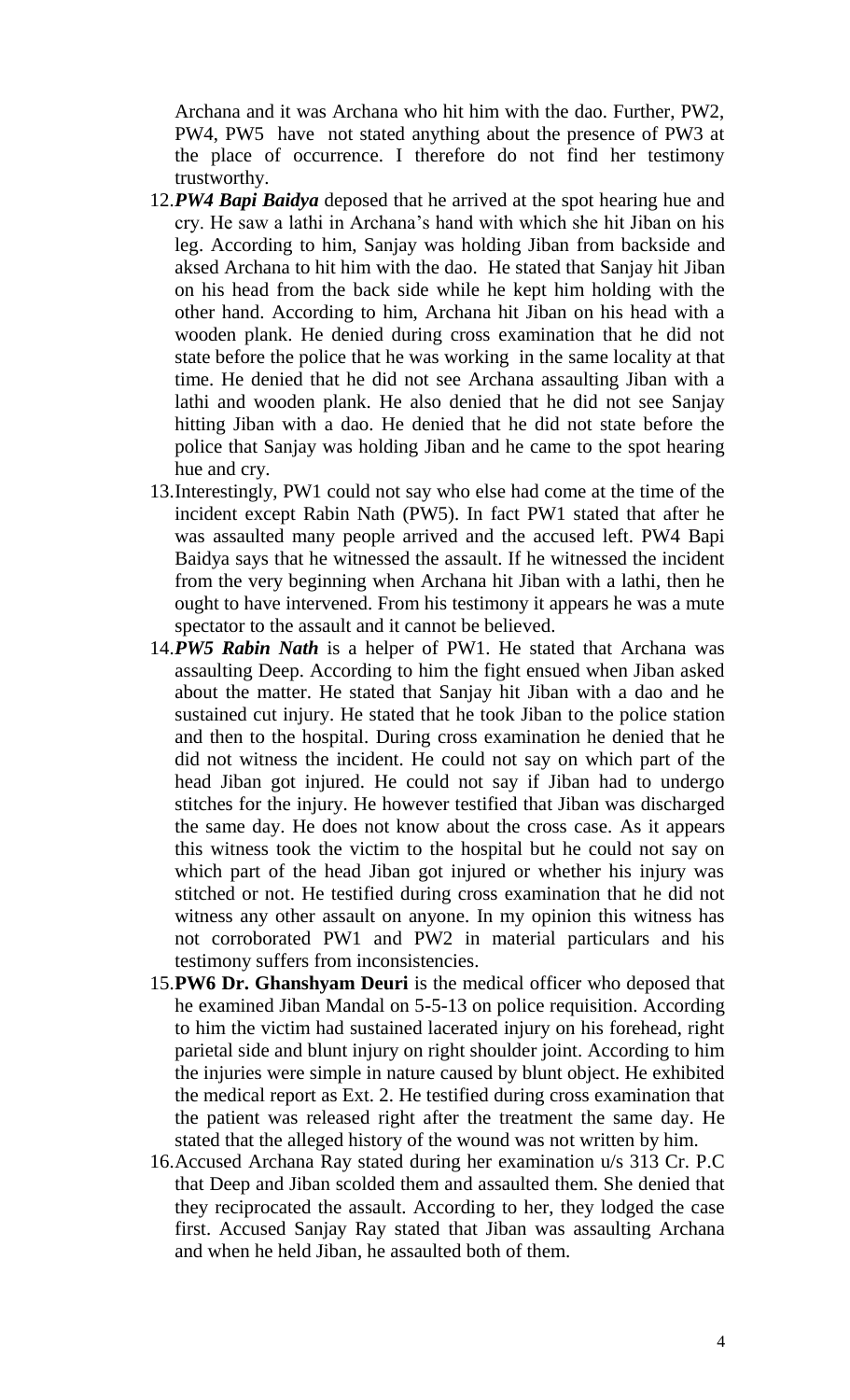Archana and it was Archana who hit him with the dao. Further, PW2, PW4, PW5 have not stated anything about the presence of PW3 at the place of occurrence. I therefore do not find her testimony trustworthy.

- 12.*PW4 Bapi Baidya* deposed that he arrived at the spot hearing hue and cry. He saw a lathi in Archana's hand with which she hit Jiban on his leg. According to him, Sanjay was holding Jiban from backside and aksed Archana to hit him with the dao. He stated that Sanjay hit Jiban on his head from the back side while he kept him holding with the other hand. According to him, Archana hit Jiban on his head with a wooden plank. He denied during cross examination that he did not state before the police that he was working in the same locality at that time. He denied that he did not see Archana assaulting Jiban with a lathi and wooden plank. He also denied that he did not see Sanjay hitting Jiban with a dao. He denied that he did not state before the police that Sanjay was holding Jiban and he came to the spot hearing hue and cry.
- 13.Interestingly, PW1 could not say who else had come at the time of the incident except Rabin Nath (PW5). In fact PW1 stated that after he was assaulted many people arrived and the accused left. PW4 Bapi Baidya says that he witnessed the assault. If he witnessed the incident from the very beginning when Archana hit Jiban with a lathi, then he ought to have intervened. From his testimony it appears he was a mute spectator to the assault and it cannot be believed.
- 14.*PW5 Rabin Nath* is a helper of PW1. He stated that Archana was assaulting Deep. According to him the fight ensued when Jiban asked about the matter. He stated that Sanjay hit Jiban with a dao and he sustained cut injury. He stated that he took Jiban to the police station and then to the hospital. During cross examination he denied that he did not witness the incident. He could not say on which part of the head Jiban got injured. He could not say if Jiban had to undergo stitches for the injury. He however testified that Jiban was discharged the same day. He does not know about the cross case. As it appears this witness took the victim to the hospital but he could not say on which part of the head Jiban got injured or whether his injury was stitched or not. He testified during cross examination that he did not witness any other assault on anyone. In my opinion this witness has not corroborated PW1 and PW2 in material particulars and his testimony suffers from inconsistencies.
- 15.**PW6 Dr. Ghanshyam Deuri** is the medical officer who deposed that he examined Jiban Mandal on 5-5-13 on police requisition. According to him the victim had sustained lacerated injury on his forehead, right parietal side and blunt injury on right shoulder joint. According to him the injuries were simple in nature caused by blunt object. He exhibited the medical report as Ext. 2. He testified during cross examination that the patient was released right after the treatment the same day. He stated that the alleged history of the wound was not written by him.
- 16.Accused Archana Ray stated during her examination u/s 313 Cr. P.C that Deep and Jiban scolded them and assaulted them. She denied that they reciprocated the assault. According to her, they lodged the case first. Accused Sanjay Ray stated that Jiban was assaulting Archana and when he held Jiban, he assaulted both of them.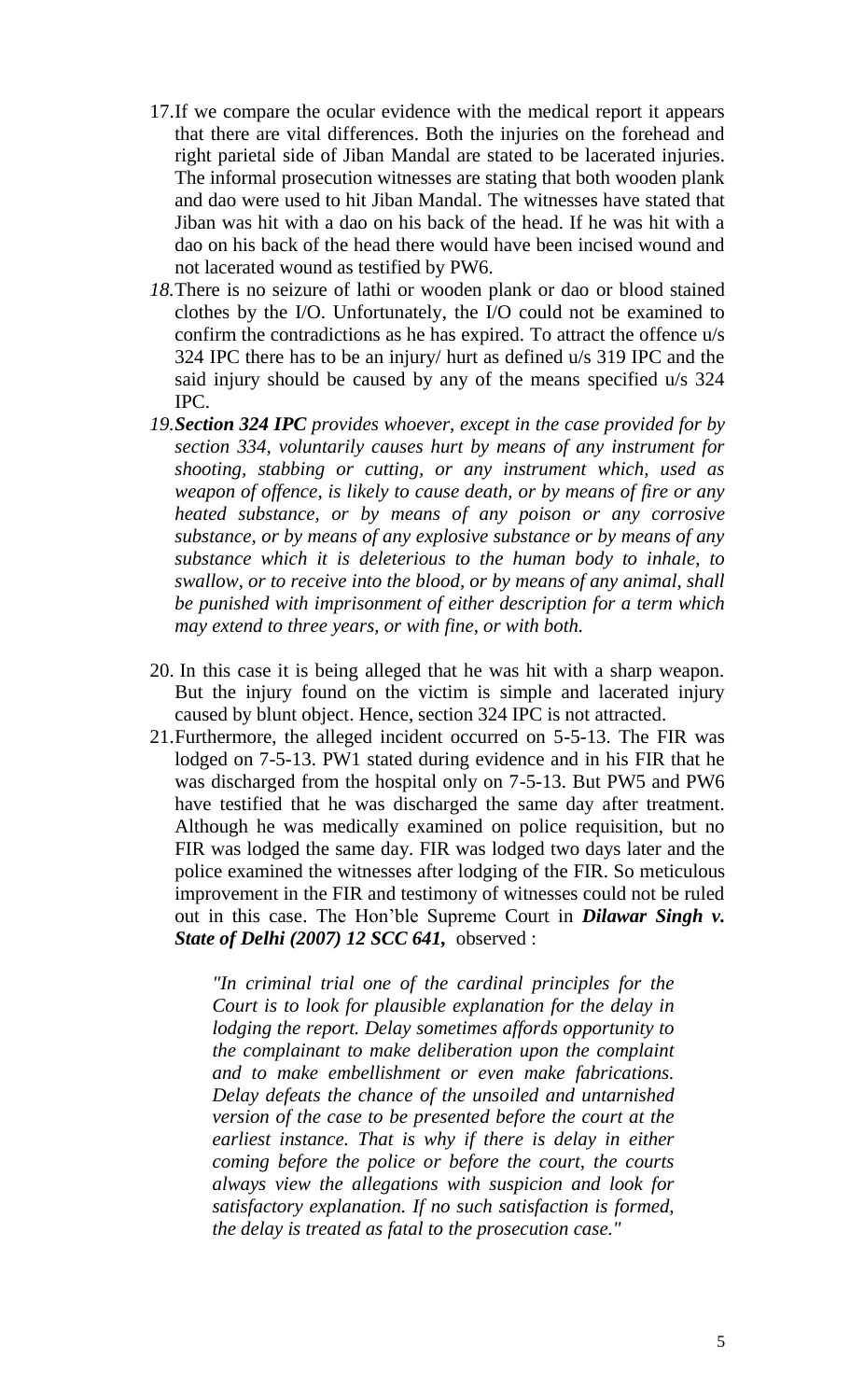- 17.If we compare the ocular evidence with the medical report it appears that there are vital differences. Both the injuries on the forehead and right parietal side of Jiban Mandal are stated to be lacerated injuries. The informal prosecution witnesses are stating that both wooden plank and dao were used to hit Jiban Mandal. The witnesses have stated that Jiban was hit with a dao on his back of the head. If he was hit with a dao on his back of the head there would have been incised wound and not lacerated wound as testified by PW6.
- *18.*There is no seizure of lathi or wooden plank or dao or blood stained clothes by the I/O. Unfortunately, the I/O could not be examined to confirm the contradictions as he has expired. To attract the offence u/s 324 IPC there has to be an injury/ hurt as defined u/s 319 IPC and the said injury should be caused by any of the means specified u/s 324 IPC.
- *19.Section 324 IPC provides whoever, except in the case provided for by section 334, voluntarily causes hurt by means of any instrument for shooting, stabbing or cutting, or any instrument which, used as weapon of offence, is likely to cause death, or by means of fire or any heated substance, or by means of any poison or any corrosive substance, or by means of any explosive substance or by means of any substance which it is deleterious to the human body to inhale, to swallow, or to receive into the blood, or by means of any animal, shall be punished with imprisonment of either description for a term which may extend to three years, or with fine, or with both.*
- 20. In this case it is being alleged that he was hit with a sharp weapon. But the injury found on the victim is simple and lacerated injury caused by blunt object. Hence, section 324 IPC is not attracted.
- 21.Furthermore, the alleged incident occurred on 5-5-13. The FIR was lodged on 7-5-13. PW1 stated during evidence and in his FIR that he was discharged from the hospital only on 7-5-13. But PW5 and PW6 have testified that he was discharged the same day after treatment. Although he was medically examined on police requisition, but no FIR was lodged the same day. FIR was lodged two days later and the police examined the witnesses after lodging of the FIR. So meticulous improvement in the FIR and testimony of witnesses could not be ruled out in this case. The Hon'ble Supreme Court in *Dilawar Singh v. State of Delhi (2007) 12 SCC 641,* observed :

*"In criminal trial one of the cardinal principles for the Court is to look for plausible explanation for the delay in lodging the report. Delay sometimes affords opportunity to the complainant to make deliberation upon the complaint and to make embellishment or even make fabrications. Delay defeats the chance of the unsoiled and untarnished version of the case to be presented before the court at the earliest instance. That is why if there is delay in either coming before the police or before the court, the courts always view the allegations with suspicion and look for satisfactory explanation. If no such satisfaction is formed, the delay is treated as fatal to the prosecution case."*